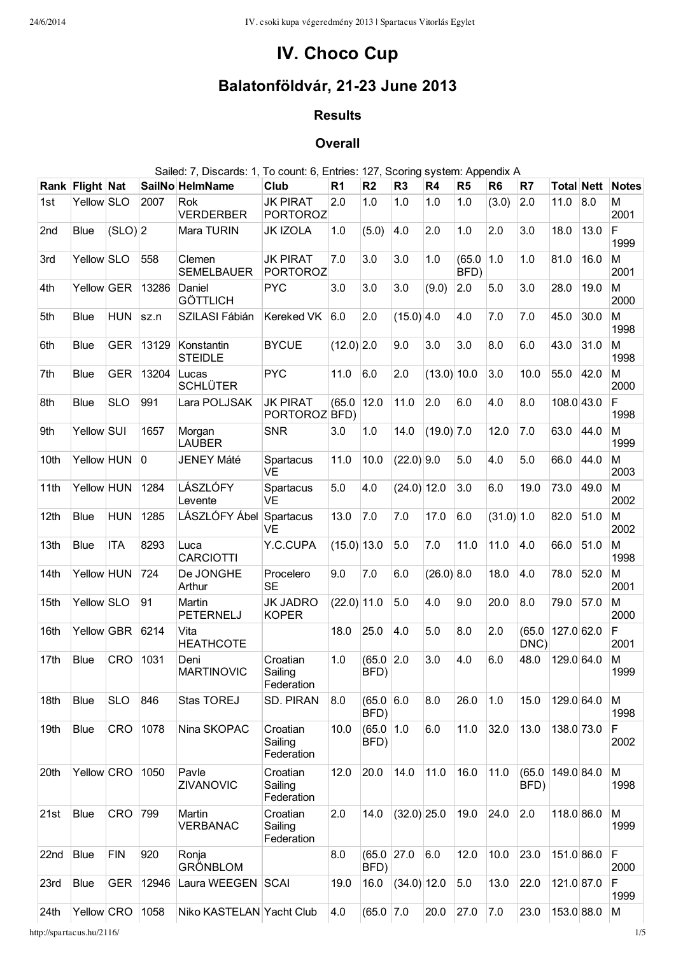# **IV. Choco Cup**

## **Balatonföldvár, 2123 June 2013**

## **Results**

#### **Overall**

| Sailed: 7, Discards: 1, To count: 6, Entries: 127, Scoring system: Appendix A |  |  |
|-------------------------------------------------------------------------------|--|--|
|                                                                               |  |  |

|      | Rank Flight Nat |            |       | SailNo HelmName                | Club                               | R <sub>1</sub> | R <sub>2</sub>       | R <sub>3</sub> | R <sub>4</sub> | R <sub>5</sub> | R <sub>6</sub> | R7             | <b>Total Nett</b> |      | <b>Notes</b> |
|------|-----------------|------------|-------|--------------------------------|------------------------------------|----------------|----------------------|----------------|----------------|----------------|----------------|----------------|-------------------|------|--------------|
| 1st  | Yellow SLO      |            | 2007  | <b>Rok</b><br><b>VERDERBER</b> | <b>JK PIRAT</b><br><b>PORTOROZ</b> | 2.0            | 1.0                  | 1.0            | 1.0            | 1.0            | (3.0)          | 2.0            | 11.0              | 8.0  | М<br>2001    |
| 2nd  | <b>Blue</b>     | $(SLO)$ 2  |       | Mara TURIN                     | <b>JK IZOLA</b>                    | 1.0            | (5.0)                | 4.0            | 2.0            | 1.0            | 2.0            | 3.0            | 18.0              | 13.0 | F<br>1999    |
| 3rd  | Yellow SLO      |            | 558   | Clemen<br><b>SEMELBAUER</b>    | <b>JK PIRAT</b><br><b>PORTOROZ</b> | 7.0            | 3.0                  | 3.0            | 1.0            | (65.0)<br>BFD) | 1.0            | 1.0            | 81.0              | 16.0 | М<br>2001    |
| 4th  | Yellow GER      |            | 13286 | Daniel<br><b>GÖTTLICH</b>      | <b>PYC</b>                         | 3.0            | 3.0                  | 3.0            | (9.0)          | 2.0            | 5.0            | 3.0            | 28.0              | 19.0 | M<br>2000    |
| 5th  | <b>Blue</b>     | <b>HUN</b> | sz.n  | SZILASI Fábián                 | <b>Kereked VK</b>                  | 6.0            | 2.0                  | $(15.0)$ 4.0   |                | 4.0            | 7.0            | 7.0            | 45.0              | 30.0 | М<br>1998    |
| 6th  | <b>Blue</b>     | <b>GER</b> | 13129 | Konstantin<br><b>STEIDLE</b>   | <b>BYCUE</b>                       | $(12.0)$ 2.0   |                      | 9.0            | 3.0            | 3.0            | 8.0            | 6.0            | 43.0              | 31.0 | М<br>1998    |
| 7th  | <b>Blue</b>     | <b>GER</b> | 13204 | Lucas<br><b>SCHLÜTER</b>       | <b>PYC</b>                         | 11.0           | 6.0                  | 2.0            | (13.0) 10.0    |                | 3.0            | 10.0           | 55.0              | 42.0 | М<br>2000    |
| 8th  | <b>Blue</b>     | <b>SLO</b> | 991   | Lara POLJSAK                   | <b>JK PIRAT</b><br>PORTOROZ BFD)   | (65.0)         | 12.0                 | 11.0           | 2.0            | 6.0            | 4.0            | 8.0            | 108.0 43.0        |      | F<br>1998    |
| 9th  | Yellow SUI      |            | 1657  | Morgan<br><b>LAUBER</b>        | <b>SNR</b>                         | 3.0            | 1.0                  | 14.0           | $(19.0)$ 7.0   |                | 12.0           | 7.0            | 63.0              | 44.0 | M<br>1999    |
| 10th | Yellow HUN      |            | 0     | <b>JENEY Máté</b>              | Spartacus<br>VF                    | 11.0           | 10.0                 | $(22.0)$ 9.0   |                | 5.0            | 4.0            | 5.0            | 66.0              | 44.0 | М<br>2003    |
| 11th | Yellow HUN      |            | 1284  | LÁSZLÓFY<br>Levente            | Spartacus<br>VE                    | 5.0            | 4.0                  | $(24.0)$ 12.0  |                | 3.0            | 6.0            | 19.0           | 73.0              | 49.0 | М<br>2002    |
| 12th | <b>Blue</b>     | <b>HUN</b> | 1285  | LÁSZLÓFY Ábel                  | Spartacus<br>VE                    | 13.0           | 7.0                  | 7.0            | 17.0           | 6.0            | $(31.0)$ 1.0   |                | 82.0              | 51.0 | M<br>2002    |
| 13th | <b>Blue</b>     | <b>ITA</b> | 8293  | Luca<br><b>CARCIOTTI</b>       | Y.C.CUPA                           | $(15.0)$ 13.0  |                      | 5.0            | 7.0            | 11.0           | 11.0           | 4.0            | 66.0              | 51.0 | M<br>1998    |
| 14th | Yellow HUN      |            | 724   | De JONGHE<br>Arthur            | Procelero<br><b>SE</b>             | 9.0            | 7.0                  | 6.0            | $(26.0)$ 8.0   |                | 18.0           | 4.0            | 78.0              | 52.0 | M<br>2001    |
| 15th | Yellow SLO      |            | 91    | Martin<br>PETERNELJ            | <b>JK JADRO</b><br><b>KOPER</b>    | $(22.0)$ 11.0  |                      | 5.0            | 4.0            | 9.0            | 20.0           | 8.0            | 79.0              | 57.0 | M<br>2000    |
| 16th | Yellow GBR      |            | 6214  | Vita<br><b>HEATHCOTE</b>       |                                    | 18.0           | 25.0                 | 4.0            | 5.0            | 8.0            | 2.0            | (65.0)<br>DNC) | 127.0 62.0        |      | F<br>2001    |
| 17th | <b>Blue</b>     | <b>CRO</b> | 1031  | Deni<br><b>MARTINOVIC</b>      | Croatian<br>Sailing<br>Federation  | 1.0            | (65.0)<br>BFD)       | 2.0            | 3.0            | 4.0            | 6.0            | 48.0           | 129.0 64.0        |      | М<br>1999    |
| 18th | <b>Blue</b>     | <b>SLO</b> | 846   | Stas TOREJ                     | SD. PIRAN                          | 8.0            | (65.0   6.0<br>BFD)  |                | 8.0            | 26.0           | 1.0            | 15.0           | 129.0 64.0        |      | М<br>1998    |
| 19th | <b>Blue</b>     | CRO        | 1078  | Nina SKOPAC                    | Croatian<br>Sailing<br>Federation  | 10.0           | (65.0   1.0<br>BFD)  |                | 6.0            | 11.0           | 32.0           | 13.0           | 138.0 73.0        |      | F<br>2002    |
| 20th | Yellow CRO      |            | 1050  | Pavle<br>ZIVANOVIC             | Croatian<br>Sailing<br>Federation  | 12.0           | 20.0                 | 14.0           | 11.0           | 16.0           | 11.0           | (65.0)<br>BFD) | 149.0 84.0        |      | М<br>1998    |
| 21st | <b>Blue</b>     | CRO        | 799   | Martin<br><b>VERBANAC</b>      | Croatian<br>Sailing<br>Federation  | 2.0            | 14.0                 | $(32.0)$ 25.0  |                | 19.0           | 24.0           | 2.0            | 118.0 86.0        |      | М<br>1999    |
| 22nd | <b>Blue</b>     | <b>FIN</b> | 920   | Ronja<br>GRÖNBLOM              |                                    | 8.0            | (65.0   27.0<br>BFD) |                | 6.0            | 12.0           | 10.0           | 23.0           | 151.0 86.0        |      | F<br>2000    |
| 23rd | <b>Blue</b>     | <b>GER</b> | 12946 | Laura WEEGEN SCAI              |                                    | 19.0           | 16.0                 | $(34.0)$ 12.0  |                | 5.0            | 13.0           | 22.0           | 121.0 87.0        |      | F<br>1999    |
| 24th | Yellow CRO      |            | 1058  | Niko KASTELAN Yacht Club       |                                    | 4.0            | $(65.0 \ 7.0$        |                | 20.0           | 27.0           | 7.0            | 23.0           | 153.0 88.0        |      | M            |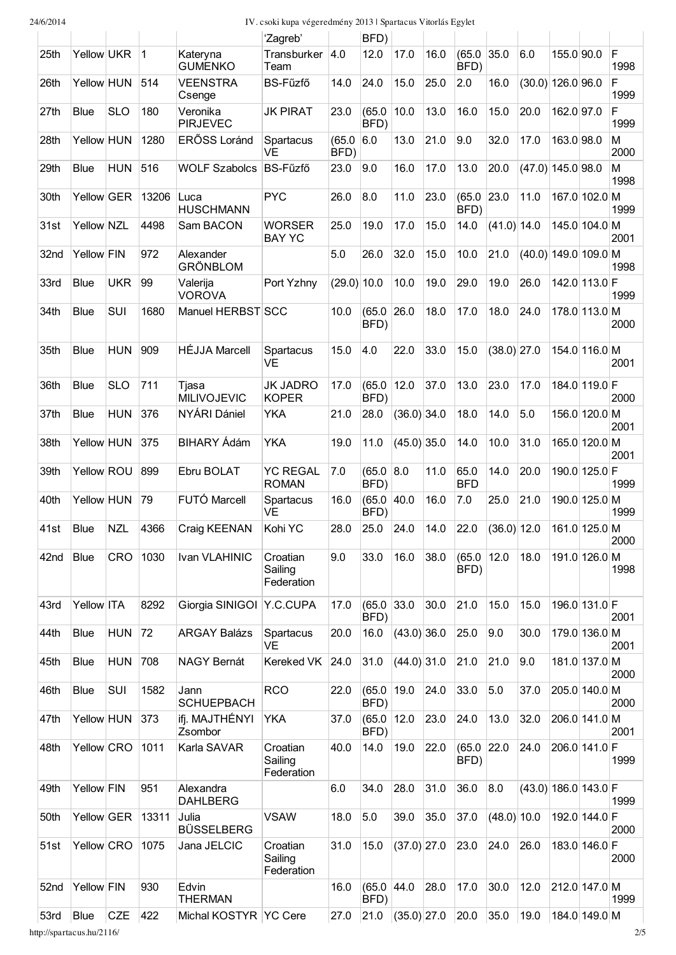24/6/2014 IV. csoki kupa végeredmény 2013 | Spartacus Vitorlás Egylet

|      |             |            |       |                              | 'Zagreb'                          |                | BFD)           |               |      |                      |               |                        |            |               |           |
|------|-------------|------------|-------|------------------------------|-----------------------------------|----------------|----------------|---------------|------|----------------------|---------------|------------------------|------------|---------------|-----------|
| 25th | Yellow UKR  |            | 1     | Kateryna<br><b>GUMENKO</b>   | Transburker<br>Team               | 4.0            | 12.0           | 17.0          | 16.0 | (65.0)<br>BFD)       | 35.0          | 6.0                    | 155.0 90.0 |               | F<br>1998 |
| 26th | Yellow HUN  |            | 514   | <b>VEENSTRA</b><br>Csenge    | BS-Fűzfő                          | 14.0           | 24.0           | 15.0          | 25.0 | 2.0                  | 16.0          | $(30.0)$ 126.0 96.0    |            |               | F<br>1999 |
| 27th | <b>Blue</b> | <b>SLO</b> | 180   | Veronika<br><b>PIRJEVEC</b>  | <b>JK PIRAT</b>                   | 23.0           | (65.0)<br>BFD) | 10.0          | 13.0 | 16.0                 | 15.0          | 20.0                   | 162.0 97.0 |               | F<br>1999 |
| 28th | Yellow HUN  |            | 1280  | ERŐSS Loránd                 | Spartacus<br>VE                   | (65.0)<br>BFD) | 6.0            | 13.0          | 21.0 | 9.0                  | 32.0          | 17.0                   | 163.0 98.0 |               | M<br>2000 |
| 29th | <b>Blue</b> | <b>HUN</b> | 516   | <b>WOLF Szabolcs</b>         | BS-Fűzfő                          | 23.0           | 9.0            | 16.0          | 17.0 | 13.0                 | 20.0          | $(47.0)$ 145.0 98.0    |            |               | M<br>1998 |
| 30th | Yellow GER  |            | 13206 | Luca<br><b>HUSCHMANN</b>     | <b>PYC</b>                        | 26.0           | 8.0            | 11.0          | 23.0 | (65.0)<br>BFD)       | 23.0          | 11.0                   |            | 167.0 102.0 M | 1999      |
| 31st | Yellow NZL  |            | 4498  | Sam BACON                    | <b>WORSER</b><br><b>BAY YC</b>    | 25.0           | 19.0           | 17.0          | 15.0 | 14.0                 | $(41.0)$ 14.0 |                        |            | 145.0 104.0 M | 2001      |
| 32nd | Yellow FIN  |            | 972   | Alexander<br><b>GRÖNBLOM</b> |                                   | 5.0            | 26.0           | 32.0          | 15.0 | 10.0                 | 21.0          | $(40.0)$ 149.0 109.0 M |            |               | 1998      |
| 33rd | <b>Blue</b> | <b>UKR</b> | 99    | Valerija<br>VOROVA           | Port Yzhny                        | $(29.0)$ 10.0  |                | 10.0          | 19.0 | 29.0                 | 19.0          | 26.0                   |            | 142.0 113.0 F | 1999      |
| 34th | <b>Blue</b> | SUI        | 1680  | Manuel HERBST SCC            |                                   | 10.0           | (65.0)<br>BFD) | 26.0          | 18.0 | 17.0                 | 18.0          | 24.0                   |            | 178.0 113.0 M | 2000      |
| 35th | <b>Blue</b> | <b>HUN</b> | 909   | HÉJJA Marcell                | Spartacus<br><b>VE</b>            | 15.0           | 4.0            | 22.0          | 33.0 | 15.0                 | $(38.0)$ 27.0 |                        |            | 154.0 116.0 M | 2001      |
| 36th | <b>Blue</b> | <b>SLO</b> | 711   | Tjasa<br>MILIVOJEVIC         | <b>JK JADRO</b><br><b>KOPER</b>   | 17.0           | (65.0)<br>BFD) | 12.0          | 37.0 | 13.0                 | 23.0          | 17.0                   |            | 184.0 119.0 F | 2000      |
| 37th | <b>Blue</b> | <b>HUN</b> | 376   | NYÁRI Dániel                 | <b>YKA</b>                        | 21.0           | 28.0           | $(36.0)$ 34.0 |      | 18.0                 | 14.0          | 5.0                    |            | 156.0 120.0 M | 2001      |
| 38th | Yellow HUN  |            | 375   | <b>BIHARY Ádám</b>           | <b>YKA</b>                        | 19.0           | 11.0           | $(45.0)$ 35.0 |      | 14.0                 | 10.0          | 31.0                   |            | 165.0 120.0 M | 2001      |
| 39th | Yellow ROU  |            | 899   | Ebru BOLAT                   | <b>YC REGAL</b><br><b>ROMAN</b>   | 7.0            | (65.0)<br>BFD) | 8.0           | 11.0 | 65.0<br><b>BFD</b>   | 14.0          | 20.0                   |            | 190.0 125.0 F | 1999      |
| 40th | Yellow HUN  |            | 79    | FUTÓ Marcell                 | Spartacus<br><b>VE</b>            | 16.0           | (65.0)<br>BFD) | 40.0          | 16.0 | 7.0                  | 25.0          | 21.0                   |            | 190.0 125.0 M | 1999      |
| 41st | <b>Blue</b> | <b>NZL</b> | 4366  | Craig KEENAN                 | Kohi YC                           | 28.0           | 25.0           | 24.0          | 14.0 | 22.0                 | $(36.0)$ 12.0 |                        |            | 161.0 125.0 M | 2000      |
| 42nd | <b>Blue</b> | <b>CRO</b> | 1030  | Ivan VLAHINIC                | Croatian<br>Sailing<br>Federation | 9.0            | 33.0           | 16.0          | 38.0 | (65.0   12.0<br>BFD) |               | 18.0                   |            | 191.0 126.0 M | 1998      |
| 43rd | Yellow ITA  |            | 8292  | Giorgia SINIGOI              | Y.C.CUPA                          | 17.0           | (65.0)<br>BFD) | 33.0          | 30.0 | 21.0                 | 15.0          | 15.0                   |            | 196.0 131.0 F | 2001      |
| 44th | <b>Blue</b> | <b>HUN</b> | 72    | <b>ARGAY Balázs</b>          | Spartacus<br><b>VE</b>            | 20.0           | 16.0           | $(43.0)$ 36.0 |      | 25.0                 | 9.0           | 30.0                   |            | 179.0 136.0 M | 2001      |
| 45th | <b>Blue</b> | <b>HUN</b> | 708   | <b>NAGY Bernát</b>           | Kereked VK                        | 24.0           | 31.0           | $(44.0)$ 31.0 |      | 21.0                 | 21.0          | 9.0                    |            | 181.0 137.0 M | 2000      |
| 46th | <b>Blue</b> | SUI        | 1582  | Jann<br><b>SCHUEPBACH</b>    | <b>RCO</b>                        | 22.0           | (65.0)<br>BFD) | 19.0          | 24.0 | 33.0                 | 5.0           | 37.0                   |            | 205.0 140.0 M | 2000      |
| 47th | Yellow HUN  |            | 373   | ifj. MAJTHÉNYI<br>Zsombor    | <b>YKA</b>                        | 37.0           | (65.0)<br>BFD) | 12.0          | 23.0 | 24.0                 | 13.0          | 32.0                   |            | 206.0 141.0 M | 2001      |
| 48th | Yellow CRO  |            | 1011  | Karla SAVAR                  | Croatian<br>Sailing<br>Federation | 40.0           | 14.0           | 19.0          | 22.0 | (65.0   22.0<br>BFD) |               | 24.0                   |            | 206.0 141.0 F | 1999      |
| 49th | Yellow FIN  |            | 951   | Alexandra<br><b>DAHLBERG</b> |                                   | 6.0            | 34.0           | 28.0          | 31.0 | 36.0                 | 8.0           | $(43.0)$ 186.0 143.0 F |            |               | 1999      |
| 50th | Yellow GER  |            | 13311 | Julia<br>BÜSSELBERG          | <b>VSAW</b>                       | 18.0           | 5.0            | 39.0          | 35.0 | 37.0                 | $(48.0)$ 10.0 |                        |            | 192.0 144.0 F | 2000      |
| 51st | Yellow CRO  |            | 1075  | Jana JELCIC                  | Croatian<br>Sailing<br>Federation | 31.0           | 15.0           | $(37.0)$ 27.0 |      | 23.0                 | 24.0          | 26.0                   |            | 183.0 146.0 F | 2000      |
| 52nd | Yellow FIN  |            | 930   | Edvin<br><b>THERMAN</b>      |                                   | 16.0           | (65.0)<br>BFD) | 44.0          | 28.0 | 17.0                 | 30.0          | 12.0                   |            | 212.0 147.0 M | 1999      |
| 53rd | <b>Blue</b> | CZE        | 422   | Michal KOSTYR YC Cere        |                                   | 27.0           | 21.0           | $(35.0)$ 27.0 |      | 20.0                 | 35.0          | 19.0                   |            | 184.0 149.0 M |           |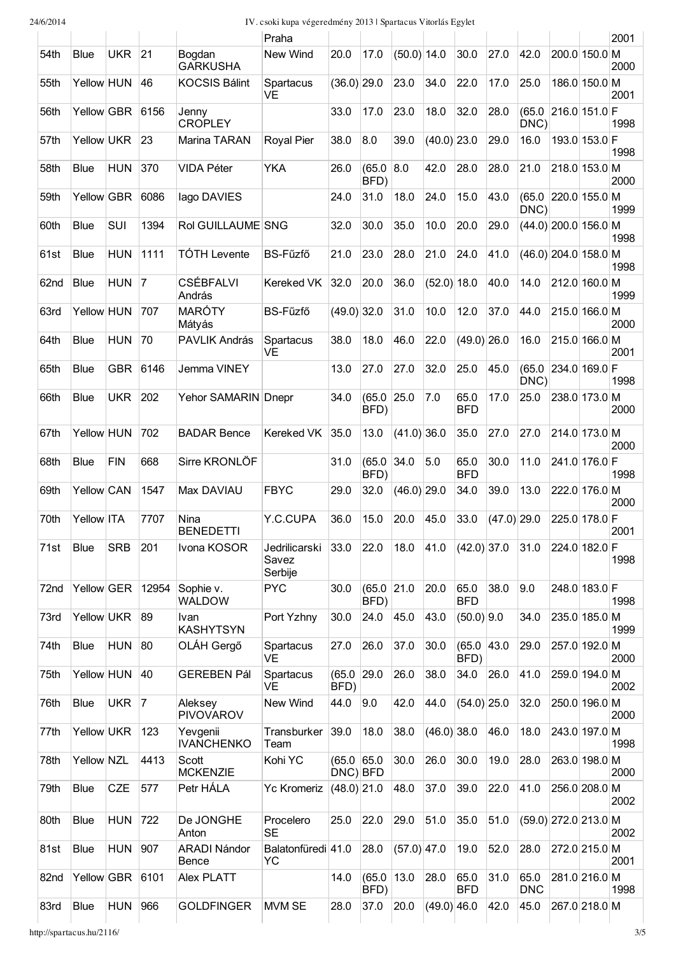#### 24/6/2014 IV. csoki kupa végeredmény 2013 | Spartacus Vitorlás Egylet

|      |             |            |       |                               | Praha                             |                          |                      |               |               |                      |               |                        |                        |               | 2001 |
|------|-------------|------------|-------|-------------------------------|-----------------------------------|--------------------------|----------------------|---------------|---------------|----------------------|---------------|------------------------|------------------------|---------------|------|
| 54th | <b>Blue</b> | <b>UKR</b> | 21    | Bogdan<br><b>GARKUSHA</b>     | New Wind                          | 20.0                     | 17.0                 | $(50.0)$ 14.0 |               | 30.0                 | 27.0          | 42.0                   |                        | 200.0 150.0 M | 2000 |
| 55th | Yellow HUN  |            | 46    | <b>KOCSIS Bálint</b>          | Spartacus<br>VE                   | $(36.0)$ 29.0            |                      | 23.0          | 34.0          | 22.0                 | 17.0          | 25.0                   |                        | 186.0 150.0 M | 2001 |
| 56th | Yellow GBR  |            | 6156  | Jenny<br><b>CROPLEY</b>       |                                   | 33.0                     | 17.0                 | 23.0          | 18.0          | 32.0                 | 28.0          | (65.0)<br>DNC)         |                        | 216.0 151.0 F | 1998 |
| 57th | Yellow UKR  |            | 23    | Marina TARAN                  | Royal Pier                        | 38.0                     | 8.0                  | 39.0          | $(40.0)$ 23.0 |                      | 29.0          | 16.0                   |                        | 193.0 153.0 F | 1998 |
| 58th | <b>Blue</b> | <b>HUN</b> | 370   | <b>VIDA Péter</b>             | <b>YKA</b>                        | 26.0                     | (65.0   8.0)<br>BFD) |               | 42.0          | 28.0                 | 28.0          | 21.0                   |                        | 218.0 153.0 M | 2000 |
| 59th | Yellow GBR  |            | 6086  | lago DAVIES                   |                                   | 24.0                     | 31.0                 | 18.0          | 24.0          | 15.0                 | 43.0          | (65.0)<br>DNC)         | 220.0 155.0 M          |               | 1999 |
| 60th | <b>Blue</b> | SUI        | 1394  | Rol GUILLAUME SNG             |                                   | 32.0                     | 30.0                 | 35.0          | 10.0          | 20.0                 | 29.0          |                        | $(44.0)$ 200.0 156.0 M |               | 1998 |
| 61st | <b>Blue</b> | <b>HUN</b> | 1111  | <b>TÓTH Levente</b>           | BS-Fűzfő                          | 21.0                     | 23.0                 | 28.0          | 21.0          | 24.0                 | 41.0          | $(46.0)$ 204.0 158.0 M |                        |               | 1998 |
| 62nd | Blue        | <b>HUN</b> | 7     | <b>CSÉBFALVI</b><br>András    | Kereked VK                        | 32.0                     | 20.0                 | 36.0          | (52.0) 18.0   |                      | 40.0          | 14.0                   |                        | 212.0 160.0 M | 1999 |
| 63rd | Yellow HUN  |            | 707   | <b>MARÓTY</b><br>Mátyás       | BS-Fűzfő                          | $(49.0)$ 32.0            |                      | 31.0          | 10.0          | 12.0                 | 37.0          | 44.0                   |                        | 215.0 166.0 M | 2000 |
| 64th | <b>Blue</b> | <b>HUN</b> | 70    | PAVLIK András                 | Spartacus<br><b>VE</b>            | 38.0                     | 18.0                 | 46.0          | 22.0          | $(49.0)$ 26.0        |               | 16.0                   |                        | 215.0 166.0 M | 2001 |
| 65th | <b>Blue</b> | <b>GBR</b> | 6146  | Jemma VINEY                   |                                   | 13.0                     | 27.0                 | 27.0          | 32.0          | 25.0                 | 45.0          | (65.0)<br>DNC)         | 234.0 169.0 F          |               | 1998 |
| 66th | <b>Blue</b> | <b>UKR</b> | 202   | Yehor SAMARIN Dnepr           |                                   | 34.0                     | (65.0   25.0<br>BFD) |               | 7.0           | 65.0<br><b>BFD</b>   | 17.0          | 25.0                   |                        | 238.0 173.0 M | 2000 |
| 67th | Yellow HUN  |            | 702   | <b>BADAR Bence</b>            | Kereked VK                        | 35.0                     | 13.0                 | $(41.0)$ 36.0 |               | 35.0                 | 27.0          | 27.0                   |                        | 214.0 173.0 M | 2000 |
| 68th | <b>Blue</b> | <b>FIN</b> | 668   | Sirre KRONLÖF                 |                                   | 31.0                     | (65.0)<br>BFD)       | 34.0          | 5.0           | 65.0<br><b>BFD</b>   | 30.0          | 11.0                   |                        | 241.0 176.0 F | 1998 |
| 69th | Yellow CAN  |            | 1547  | Max DAVIAU                    | <b>FBYC</b>                       | 29.0                     | 32.0                 | $(46.0)$ 29.0 |               | 34.0                 | 39.0          | 13.0                   |                        | 222.0 176.0 M | 2000 |
| 70th | Yellow ITA  |            | 7707  | Nina<br><b>BENEDETTI</b>      | Y.C.CUPA                          | 36.0                     | 15.0                 | 20.0          | 45.0          | 33.0                 | $(47.0)$ 29.0 |                        |                        | 225.0 178.0 F | 2001 |
| 71st | <b>Blue</b> | <b>SRB</b> | 201   | Ivona KOSOR                   | Jedrilicarski<br>Savez<br>Serbije | 33.0                     | 22.0                 | 18.0          | 41.0          | $(42.0)$ 37.0        |               | 31.0                   |                        | 224.0 182.0 F | 1998 |
| 72nd | Yellow GER  |            | 12954 | Sophie v.<br><b>WALDOW</b>    | <b>PYC</b>                        | 30.0                     | (65.0   21.0<br>BFD) |               | 20.0          | 65.0<br><b>BFD</b>   | 38.0          | 9.0                    |                        | 248.0 183.0 F | 1998 |
| 73rd | Yellow UKR  |            | 89    | Ivan<br><b>KASHYTSYN</b>      | Port Yzhny                        | 30.0                     | 24.0                 | 45.0          | 43.0          | $(50.0)$ 9.0         |               | 34.0                   |                        | 235.0 185.0 M | 1999 |
| 74th | <b>Blue</b> | <b>HUN</b> | 80    | OLÁH Gergő                    | Spartacus<br>VE                   | 27.0                     | 26.0                 | 37.0          | 30.0          | (65.0   43.0<br>BFD) |               | 29.0                   |                        | 257.0 192.0 M | 2000 |
| 75th | Yellow HUN  |            | 40    | <b>GEREBEN Pál</b>            | Spartacus<br>VE                   | (65.0   29.0<br>BFD)     |                      | 26.0          | 38.0          | 34.0                 | 26.0          | 41.0                   |                        | 259.0 194.0 M | 2002 |
| 76th | <b>Blue</b> | <b>UKR</b> | 7     | Aleksey<br><b>PIVOVAROV</b>   | New Wind                          | 44.0                     | 9.0                  | 42.0          | 44.0          | $(54.0)$ 25.0        |               | 32.0                   |                        | 250.0 196.0 M | 2000 |
| 77th | Yellow UKR  |            | 123   | Yevgenii<br><b>IVANCHENKO</b> | Transburker<br>Team               | 39.0                     | 18.0                 | 38.0          | $(46.0)$ 38.0 |                      | 46.0          | 18.0                   |                        | 243.0 197.0 M | 1998 |
| 78th | Yellow NZL  |            | 4413  | Scott<br><b>MCKENZIE</b>      | Kohi YC                           | (65.0   65.0<br>DNC) BFD |                      | 30.0          | 26.0          | 30.0                 | 19.0          | 28.0                   |                        | 263.0 198.0 M | 2000 |
| 79th | <b>Blue</b> | <b>CZE</b> | 577   | Petr HÁLA                     | <b>Yc Kromeriz</b>                | $(48.0)$ 21.0            |                      | 48.0          | 37.0          | 39.0                 | 22.0          | 41.0                   |                        | 256.0 208.0 M | 2002 |
| 80th | <b>Blue</b> | <b>HUN</b> | 722   | De JONGHE<br>Anton            | Procelero<br><b>SE</b>            | 25.0                     | 22.0                 | 29.0          | 51.0          | 35.0                 | 51.0          | $(59.0)$ 272.0 213.0 M |                        |               | 2002 |
| 81st | <b>Blue</b> | <b>HUN</b> | 907   | <b>ARADI Nándor</b><br>Bence  | Balatonfüredi 41.0<br>YC          |                          | 28.0                 | $(57.0)$ 47.0 |               | 19.0                 | 52.0          | 28.0                   |                        | 272.0 215.0 M | 2001 |
| 82nd | Yellow GBR  |            | 6101  | Alex PLATT                    |                                   | 14.0                     | (65.0   13.0<br>BFD) |               | 28.0          | 65.0<br><b>BFD</b>   | 31.0          | 65.0<br><b>DNC</b>     |                        | 281.0 216.0 M | 1998 |
| 83rd | <b>Blue</b> | <b>HUN</b> | 966   | <b>GOLDFINGER</b>             | MVM SE                            | 28.0                     | 37.0                 | 20.0          | $(49.0)$ 46.0 |                      | 42.0          | 45.0                   |                        | 267.0 218.0 M |      |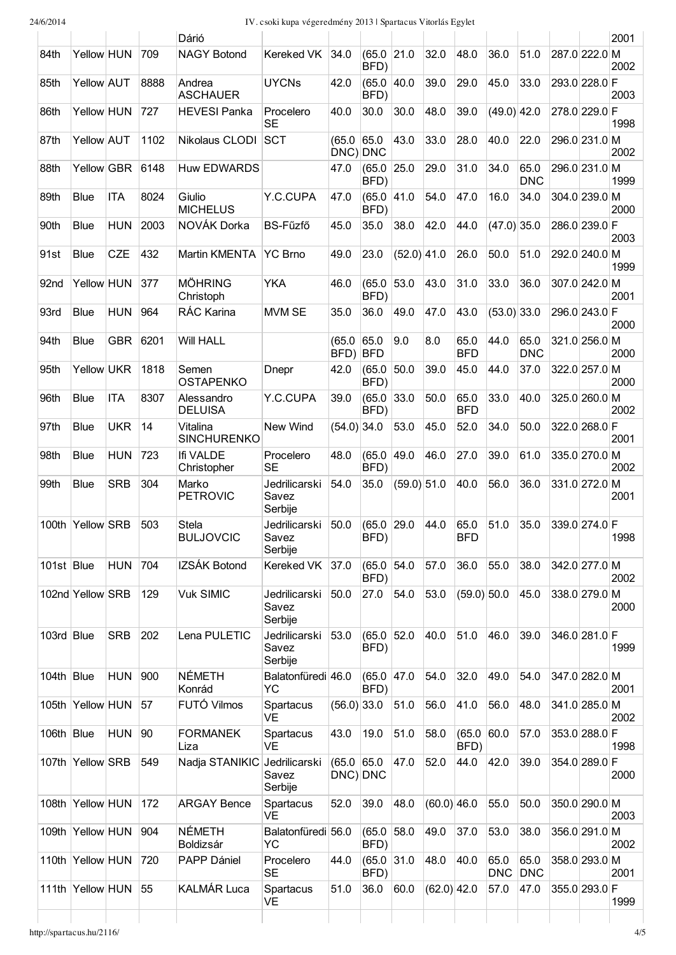## 24/6/2014 IV. csoki kupa végeredmény 2013 | Spartacus Vitorlás Foylet

|            |                  |            |      |                                 | IV. CSONI NUPA VC ECICULIICHY ZO ID I SPAI tACHS VIIOI IAS LEVICI |                    |                        |               |               |                    |                    |                    |               |              |
|------------|------------------|------------|------|---------------------------------|-------------------------------------------------------------------|--------------------|------------------------|---------------|---------------|--------------------|--------------------|--------------------|---------------|--------------|
| 84th       | Yellow HUN       |            | 709  | Dárió<br><b>NAGY Botond</b>     | Kereked VK                                                        | 34.0               | (65.0   21.0           |               | 32.0          | 48.0               | 36.0               | 51.0               | 287.0 222.0 M | 2001         |
| 85th       | Yellow AUT       |            | 8888 | Andrea<br><b>ASCHAUER</b>       | <b>UYCNs</b>                                                      | 42.0               | BFD)<br>(65.0)<br>BFD) | 40.0          | 39.0          | 29.0               | 45.0               | 33.0               | 293.0 228.0 F | 2002<br>2003 |
| 86th       | Yellow HUN       |            | 727  | <b>HEVESI Panka</b>             | Procelero<br><b>SE</b>                                            | 40.0               | 30.0                   | 30.0          | 48.0          | 39.0               | $(49.0)$ 42.0      |                    | 278.0 229.0 F | 1998         |
| 87th       | Yellow AUT       |            | 1102 | Nikolaus CLODI                  | <b>SCT</b>                                                        | (65.0)<br>DNC) DNC | 65.0                   | 43.0          | 33.0          | 28.0               | 40.0               | 22.0               | 296.0 231.0 M | 2002         |
| 88th       | Yellow GBR       |            | 6148 | <b>Huw EDWARDS</b>              |                                                                   | 47.0               | (65.0   25.0<br>BFD)   |               | 29.0          | 31.0               | 34.0               | 65.0<br><b>DNC</b> | 296.0 231.0 M | 1999         |
| 89th       | <b>Blue</b>      | <b>ITA</b> | 8024 | Giulio<br><b>MICHELUS</b>       | Y.C.CUPA                                                          | 47.0               | (65.0   41.0<br>BFD)   |               | 54.0          | 47.0               | 16.0               | 34.0               | 304.0 239.0 M | 2000         |
| 90th       | <b>Blue</b>      | <b>HUN</b> | 2003 | NOVÁK Dorka                     | BS-Fűzfő                                                          | 45.0               | 35.0                   | 38.0          | 42.0          | 44.0               | $(47.0)$ 35.0      |                    | 286.0 239.0 F | 2003         |
| 91st       | Blue             | <b>CZE</b> | 432  | Martin KMENTA                   | <b>YC Brno</b>                                                    | 49.0               | 23.0                   | $(52.0)$ 41.0 |               | 26.0               | 50.0               | 51.0               | 292.0 240.0 M | 1999         |
| 92nd       | Yellow HUN       |            | 377  | <b>MÖHRING</b><br>Christoph     | <b>YKA</b>                                                        | 46.0               | (65.0   53.0)<br>BFD)  |               | 43.0          | 31.0               | 33.0               | 36.0               | 307.0 242.0 M | 2001         |
| 93rd       | Blue             | <b>HUN</b> | 964  | RÁC Karina                      | <b>MVM SE</b>                                                     | 35.0               | 36.0                   | 49.0          | 47.0          | 43.0               | $(53.0)$ 33.0      |                    | 296.0 243.0 F | 2000         |
| 94th       | <b>Blue</b>      | <b>GBR</b> | 6201 | <b>Will HALL</b>                |                                                                   | (65.0)<br>BFD)     | 65.0<br><b>BFD</b>     | 9.0           | 8.0           | 65.0<br><b>BFD</b> | 44.0               | 65.0<br><b>DNC</b> | 321.0 256.0 M | 2000         |
| 95th       | Yellow UKR       |            | 1818 | Semen<br><b>OSTAPENKO</b>       | Dnepr                                                             | 42.0               | (65.0   50.0<br>BFD)   |               | 39.0          | 45.0               | 44.0               | 37.0               | 322.0 257.0 M | 2000         |
| 96th       | <b>Blue</b>      | <b>ITA</b> | 8307 | Alessandro<br><b>DELUISA</b>    | Y.C.CUPA                                                          | 39.0               | (65.0)<br>BFD)         | 33.0          | 50.0          | 65.0<br><b>BFD</b> | 33.0               | 40.0               | 325.0 260.0 M | 2002         |
| 97th       | <b>Blue</b>      | <b>UKR</b> | 14   | Vitalina<br><b>SINCHURENKO</b>  | New Wind                                                          | $(54.0)$ 34.0      |                        | 53.0          | 45.0          | 52.0               | 34.0               | 50.0               | 322.0 268.0 F | 2001         |
| 98th       | <b>Blue</b>      | <b>HUN</b> | 723  | <b>Ifi VALDE</b><br>Christopher | Procelero<br>SE                                                   | 48.0               | (65.0)<br>BFD)         | 49.0          | 46.0          | 27.0               | 39.0               | 61.0               | 335.0 270.0 M | 2002         |
| 99th       | <b>Blue</b>      | <b>SRB</b> | 304  | Marko<br><b>PETROVIC</b>        | Jedrilicarski<br>Savez<br>Serbije                                 | 54.0               | 35.0                   | $(59.0)$ 51.0 |               | 40.0               | 56.0               | 36.0               | 331.0 272.0 M | 2001         |
|            | 100th Yellow SRB |            | 503  | Stela<br><b>BULJOVCIC</b>       | Jedrilicarski<br>Savez<br>Serbije                                 | 50.0               | (65.0   29.0<br>BFD)   |               | 44.0          | 65.0<br>BFD        | 51.0               | 35.0               | 339.0 274.0 F | 1998         |
| 101st Blue |                  | <b>HUN</b> | 704  | IZSÁK Botond                    | Kereked VK                                                        | 37.0               | (65.0   54.0<br>BFD)   |               | 57.0          | 36.0               | 55.0               | 38.0               | 342.0 277.0 M | 2002         |
|            | 102nd Yellow SRB |            | 129  | <b>Vuk SIMIC</b>                | Jedrilicarski<br>Savez<br>Serbije                                 | 50.0               | 27.0                   | 54.0          | 53.0          | $(59.0)$ 50.0      |                    | 45.0               | 338.0 279.0 M | 2000         |
| 103rd Blue |                  | <b>SRB</b> | 202  | Lena PULETIC                    | Jedrilicarski<br>Savez<br>Serbije                                 | 53.0               | (65.0   52.0<br>BFD)   |               | 40.0          | 51.0               | 46.0               | 39.0               | 346.0 281.0 F | 1999         |
| 104th Blue |                  | <b>HUN</b> | 900  | NÉMETH<br>Konrád                | Balatonfüredi 46.0<br>YC                                          |                    | (65.0   47.0<br>BFD)   |               | 54.0          | 32.0               | 49.0               | 54.0               | 347.0 282.0 M | 2001         |
| 105th      | Yellow HUN       |            | 57   | FUTÓ Vilmos                     | Spartacus<br>VE                                                   | $(56.0)$ 33.0      |                        | 51.0          | 56.0          | 41.0               | 56.0               | 48.0               | 341.0 285.0 M | 2002         |
| 106th Blue |                  | <b>HUN</b> | 90   | <b>FORMANEK</b><br>Liza         | Spartacus<br>VE                                                   | 43.0               | 19.0                   | 51.0          | 58.0          | (65.0)<br>BFD)     | 60.0               | 57.0               | 353.0 288.0 F | 1998         |
|            | 107th Yellow SRB |            | 549  | Nadja STANIKIC                  | Jedrilicarski<br>Savez<br>Serbije                                 | (65.0   65.0       | DNC) DNC               | 47.0          | 52.0          | 44.0               | 42.0               | 39.0               | 354.0 289.0 F | 2000         |
|            | 108th Yellow HUN |            | 172  | <b>ARGAY Bence</b>              | Spartacus<br>VE                                                   | 52.0               | 39.0                   | 48.0          | $(60.0)$ 46.0 |                    | 55.0               | 50.0               | 350.0 290.0 M | 2003         |
|            | 109th Yellow HUN |            | 904  | NÉMETH<br>Boldizsár             | Balatonfüredi 56.0<br>YC                                          |                    | (65.0   58.0<br>BFD)   |               | 49.0          | 37.0               | 53.0               | 38.0               | 356.0 291.0 M | 2002         |
|            | 110th Yellow HUN |            | 720  | PAPP Dániel                     | Procelero<br><b>SE</b>                                            | 44.0               | (65.0   31.0<br>BFD)   |               | 48.0          | 40.0               | 65.0<br><b>DNC</b> | 65.0<br><b>DNC</b> | 358.0 293.0 M | 2001         |
|            | 111th Yellow HUN |            | 55   | KALMÁR Luca                     | Spartacus<br>VE                                                   | 51.0               | 36.0                   | 60.0          | $(62.0)$ 42.0 |                    | 57.0               | 47.0               | 355.0 293.0 F | 1999         |
|            |                  |            |      |                                 |                                                                   |                    |                        |               |               |                    |                    |                    |               |              |